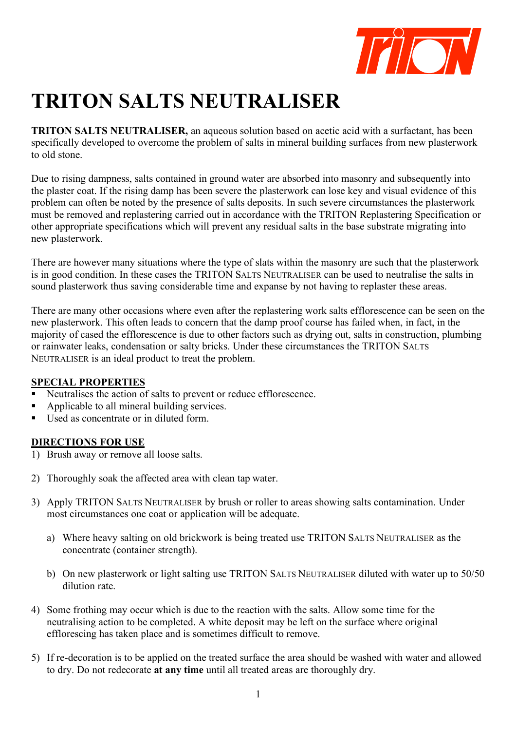

# **TRITON SALTS NEUTRALISER**

**TRITON SALTS NEUTRALISER,** an aqueous solution based on acetic acid with a surfactant, has been specifically developed to overcome the problem of salts in mineral building surfaces from new plasterwork to old stone.

Due to rising dampness, salts contained in ground water are absorbed into masonry and subsequently into the plaster coat. If the rising damp has been severe the plasterwork can lose key and visual evidence of this problem can often be noted by the presence of salts deposits. In such severe circumstances the plasterwork must be removed and replastering carried out in accordance with the TRITON Replastering Specification or other appropriate specifications which will prevent any residual salts in the base substrate migrating into new plasterwork.

There are however many situations where the type of slats within the masonry are such that the plasterwork is in good condition. In these cases the TRITON SALTS NEUTRALISER can be used to neutralise the salts in sound plasterwork thus saving considerable time and expanse by not having to replaster these areas.

There are many other occasions where even after the replastering work salts efflorescence can be seen on the new plasterwork. This often leads to concern that the damp proof course has failed when, in fact, in the majority of cased the efflorescence is due to other factors such as drying out, salts in construction, plumbing or rainwater leaks, condensation or salty bricks. Under these circumstances the TRITON SALTS NEUTRALISER is an ideal product to treat the problem.

#### **SPECIAL PROPERTIES**

- Neutralises the action of salts to prevent or reduce efflorescence.
- Applicable to all mineral building services.
- Used as concentrate or in diluted form.

## **DIRECTIONS FOR USE**

- 1) Brush away or remove all loose salts.
- 2) Thoroughly soak the affected area with clean tap water.
- 3) Apply TRITON SALTS NEUTRALISER by brush or roller to areas showing salts contamination. Under most circumstances one coat or application will be adequate.
	- a) Where heavy salting on old brickwork is being treated use TRITON SALTS NEUTRALISER as the concentrate (container strength).
	- b) On new plasterwork or light salting use TRITON SALTS NEUTRALISER diluted with water up to 50/50 dilution rate.
- 4) Some frothing may occur which is due to the reaction with the salts. Allow some time for the neutralising action to be completed. A white deposit may be left on the surface where original efflorescing has taken place and is sometimes difficult to remove.
- 5) If re-decoration is to be applied on the treated surface the area should be washed with water and allowed to dry. Do not redecorate **at any time** until all treated areas are thoroughly dry.